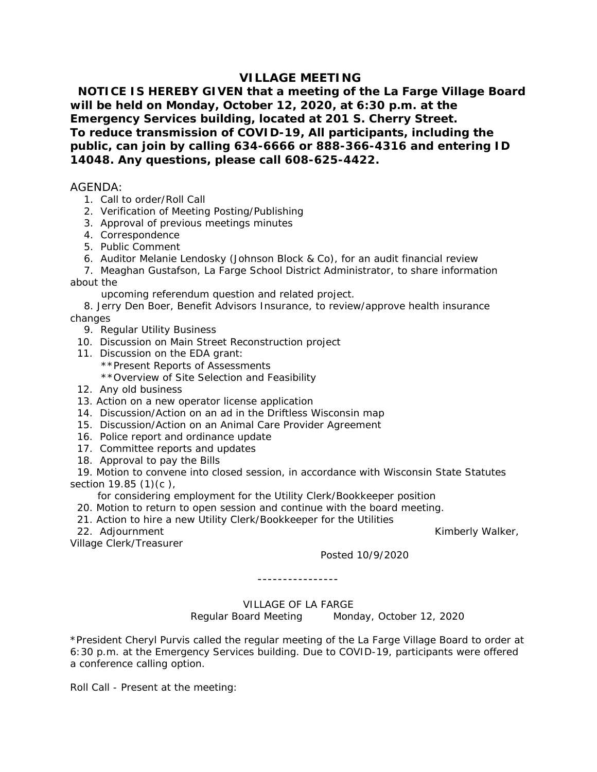## **VILLAGE MEETING**

 **NOTICE IS HEREBY GIVEN that a meeting of the La Farge Village Board will be held on Monday, October 12, 2020, at 6:30 p.m. at the Emergency Services building, located at 201 S. Cherry Street. To reduce transmission of COVID-19, All participants, including the public, can join by calling 634-6666 or 888-366-4316 and entering ID 14048. Any questions, please call 608-625-4422.**

## AGENDA:

- 1. Call to order/Roll Call
- 2. Verification of Meeting Posting/Publishing
- 3. Approval of previous meetings minutes
- 4. Correspondence
- 5. Public Comment
- 6. Auditor Melanie Lendosky (Johnson Block & Co), for an audit financial review
- 7. Meaghan Gustafson, La Farge School District Administrator, to share information about the
	- upcoming referendum question and related project.

 8. Jerry Den Boer, Benefit Advisors Insurance, to review/approve health insurance changes

- 9. Regular Utility Business
- 10. Discussion on Main Street Reconstruction project
- 11. Discussion on the EDA grant:
	- \*\*Present Reports of Assessments
	- \*\*Overview of Site Selection and Feasibility
- 12. Any old business
- 13. Action on a new operator license application
- 14. Discussion/Action on an ad in the Driftless Wisconsin map
- 15. Discussion/Action on an Animal Care Provider Agreement
- 16. Police report and ordinance update
- 17. Committee reports and updates
- 18. Approval to pay the Bills

 19. Motion to convene into closed session, in accordance with Wisconsin State Statutes section 19.85 (1)(c).

for considering employment for the Utility Clerk/Bookkeeper position

- 20. Motion to return to open session and continue with the board meeting.
- 21. Action to hire a new Utility Clerk/Bookkeeper for the Utilities
- 22. Adjournment **Kimberly Walker, Market Adjournment** Kimberly Walker,

Village Clerk/Treasurer

Posted 10/9/2020

----------------

VILLAGE OF LA FARGE Regular Board Meeting Monday, October 12, 2020

\*President Cheryl Purvis called the regular meeting of the La Farge Village Board to order at 6:30 p.m. at the Emergency Services building. Due to COVID-19, participants were offered a conference calling option.

Roll Call - Present at the meeting: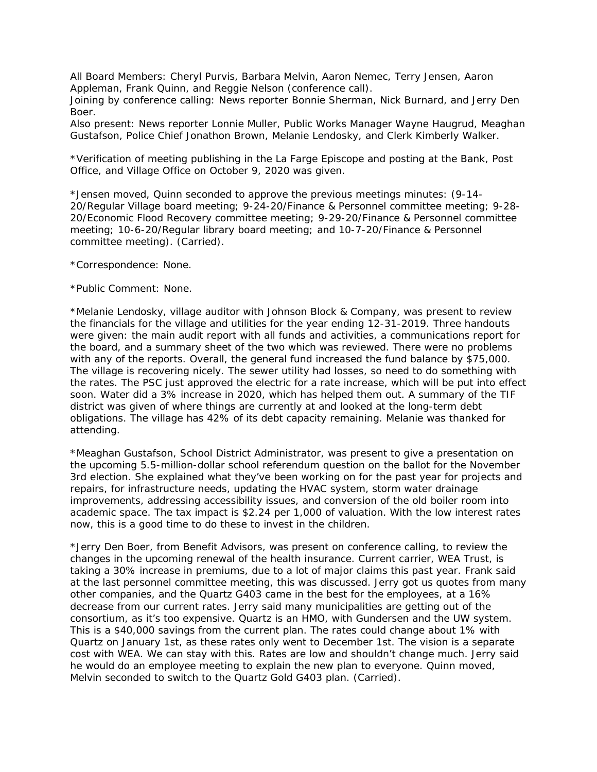All Board Members: Cheryl Purvis, Barbara Melvin, Aaron Nemec, Terry Jensen, Aaron Appleman, Frank Quinn, and Reggie Nelson (conference call).

Joining by conference calling: News reporter Bonnie Sherman, Nick Burnard, and Jerry Den Boer.

Also present: News reporter Lonnie Muller, Public Works Manager Wayne Haugrud, Meaghan Gustafson, Police Chief Jonathon Brown, Melanie Lendosky, and Clerk Kimberly Walker.

\*Verification of meeting publishing in the La Farge Episcope and posting at the Bank, Post Office, and Village Office on October 9, 2020 was given.

\*Jensen moved, Quinn seconded to approve the previous meetings minutes: (9-14- 20/Regular Village board meeting; 9-24-20/Finance & Personnel committee meeting; 9-28- 20/Economic Flood Recovery committee meeting; 9-29-20/Finance & Personnel committee meeting; 10-6-20/Regular library board meeting; and 10-7-20/Finance & Personnel committee meeting). (Carried).

\*Correspondence: None.

\*Public Comment: None.

\*Melanie Lendosky, village auditor with Johnson Block & Company, was present to review the financials for the village and utilities for the year ending 12-31-2019. Three handouts were given: the main audit report with all funds and activities, a communications report for the board, and a summary sheet of the two which was reviewed. There were no problems with any of the reports. Overall, the general fund increased the fund balance by \$75,000. The village is recovering nicely. The sewer utility had losses, so need to do something with the rates. The PSC just approved the electric for a rate increase, which will be put into effect soon. Water did a 3% increase in 2020, which has helped them out. A summary of the TIF district was given of where things are currently at and looked at the long-term debt obligations. The village has 42% of its debt capacity remaining. Melanie was thanked for attending.

\*Meaghan Gustafson, School District Administrator, was present to give a presentation on the upcoming 5.5-million-dollar school referendum question on the ballot for the November 3rd election. She explained what they've been working on for the past year for projects and repairs, for infrastructure needs, updating the HVAC system, storm water drainage improvements, addressing accessibility issues, and conversion of the old boiler room into academic space. The tax impact is \$2.24 per 1,000 of valuation. With the low interest rates now, this is a good time to do these to invest in the children.

\*Jerry Den Boer, from Benefit Advisors, was present on conference calling, to review the changes in the upcoming renewal of the health insurance. Current carrier, WEA Trust, is taking a 30% increase in premiums, due to a lot of major claims this past year. Frank said at the last personnel committee meeting, this was discussed. Jerry got us quotes from many other companies, and the Quartz G403 came in the best for the employees, at a 16% decrease from our current rates. Jerry said many municipalities are getting out of the consortium, as it's too expensive. Quartz is an HMO, with Gundersen and the UW system. This is a \$40,000 savings from the current plan. The rates could change about 1% with Quartz on January 1st, as these rates only went to December 1st. The vision is a separate cost with WEA. We can stay with this. Rates are low and shouldn't change much. Jerry said he would do an employee meeting to explain the new plan to everyone. Quinn moved, Melvin seconded to switch to the Quartz Gold G403 plan. (Carried).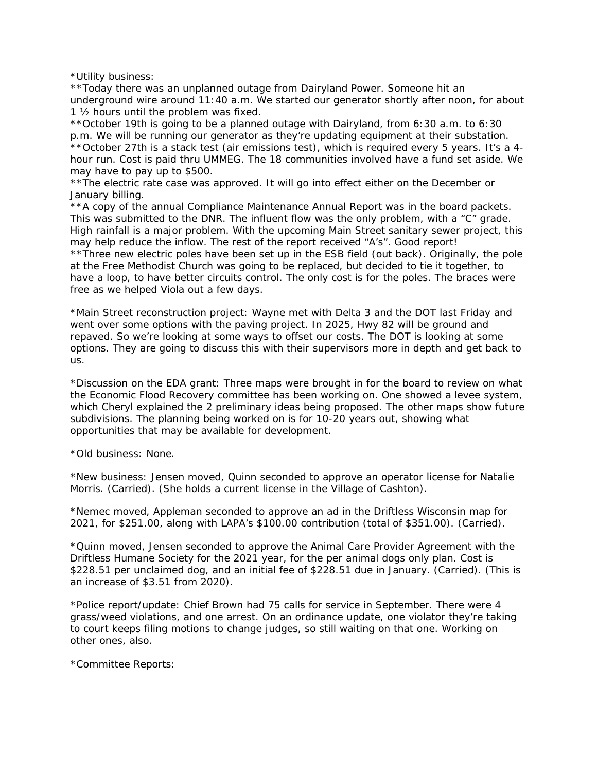\*Utility business:

\*\*Today there was an unplanned outage from Dairyland Power. Someone hit an underground wire around 11:40 a.m. We started our generator shortly after noon, for about 1 ½ hours until the problem was fixed.

\*\*October 19th is going to be a planned outage with Dairyland, from 6:30 a.m. to 6:30 p.m. We will be running our generator as they're updating equipment at their substation. \*\*October 27th is a stack test (air emissions test), which is required every 5 years. It's a 4 hour run. Cost is paid thru UMMEG. The 18 communities involved have a fund set aside. We may have to pay up to \$500.

\*\*The electric rate case was approved. It will go into effect either on the December or January billing.

\*\*A copy of the annual Compliance Maintenance Annual Report was in the board packets. This was submitted to the DNR. The influent flow was the only problem, with a "C" grade. High rainfall is a major problem. With the upcoming Main Street sanitary sewer project, this may help reduce the inflow. The rest of the report received "A's". Good report! \*\*Three new electric poles have been set up in the ESB field (out back). Originally, the pole at the Free Methodist Church was going to be replaced, but decided to tie it together, to have a loop, to have better circuits control. The only cost is for the poles. The braces were free as we helped Viola out a few days.

\*Main Street reconstruction project: Wayne met with Delta 3 and the DOT last Friday and went over some options with the paving project. In 2025, Hwy 82 will be ground and repaved. So we're looking at some ways to offset our costs. The DOT is looking at some options. They are going to discuss this with their supervisors more in depth and get back to us.

\*Discussion on the EDA grant: Three maps were brought in for the board to review on what the Economic Flood Recovery committee has been working on. One showed a levee system, which Cheryl explained the 2 preliminary ideas being proposed. The other maps show future subdivisions. The planning being worked on is for 10-20 years out, showing what opportunities that may be available for development.

\*Old business: None.

\*New business: Jensen moved, Quinn seconded to approve an operator license for Natalie Morris. (Carried). (She holds a current license in the Village of Cashton).

\*Nemec moved, Appleman seconded to approve an ad in the Driftless Wisconsin map for 2021, for \$251.00, along with LAPA's \$100.00 contribution (total of \$351.00). (Carried).

\*Quinn moved, Jensen seconded to approve the Animal Care Provider Agreement with the Driftless Humane Society for the 2021 year, for the per animal dogs only plan. Cost is \$228.51 per unclaimed dog, and an initial fee of \$228.51 due in January. (Carried). (This is an increase of \$3.51 from 2020).

\*Police report/update: Chief Brown had 75 calls for service in September. There were 4 grass/weed violations, and one arrest. On an ordinance update, one violator they're taking to court keeps filing motions to change judges, so still waiting on that one. Working on other ones, also.

\*Committee Reports: